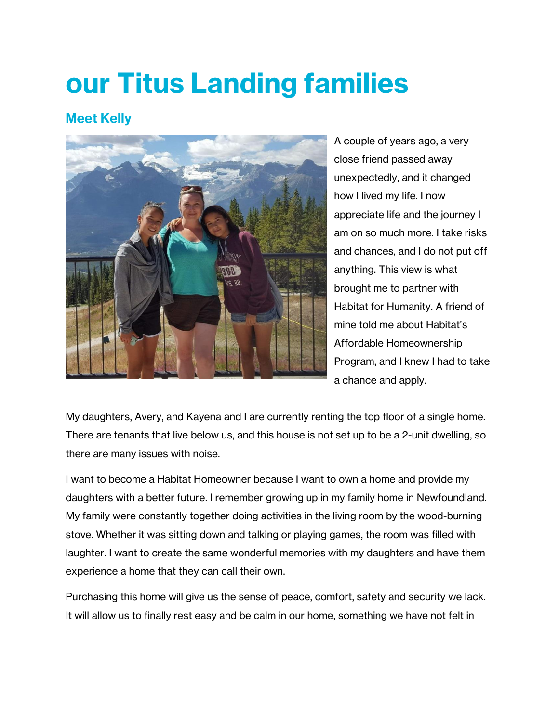## our Titus Landing families

## **Meet Kelly**



A couple of years ago, a very close friend passed away unexpectedly, and it changed how I lived my life. I now appreciate life and the journey I am on so much more. I take risks and chances, and I do not put off anything. This view is what brought me to partner with Habitat for Humanity. A friend of mine told me about Habitat's Affordable Homeownership Program, and I knew I had to take a chance and apply.

My daughters, Avery, and Kayena and I are currently renting the top floor of a single home. There are tenants that live below us, and this house is not set up to be a 2-unit dwelling, so there are many issues with noise.

I want to become a Habitat Homeowner because I want to own a home and provide my daughters with a better future. I remember growing up in my family home in Newfoundland. My family were constantly together doing activities in the living room by the wood-burning stove. Whether it was sitting down and talking or playing games, the room was filled with laughter. I want to create the same wonderful memories with my daughters and have them experience a home that they can call their own.

Purchasing this home will give us the sense of peace, comfort, safety and security we lack. It will allow us to finally rest easy and be calm in our home, something we have not felt in